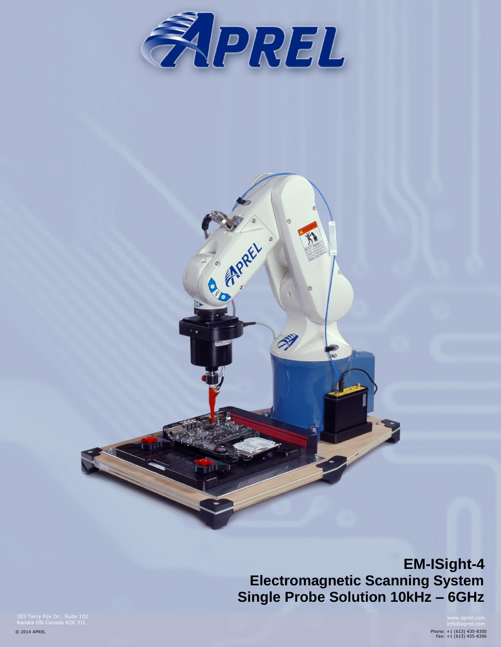

C. M. Rett

 $\circ$ 

S)



Phone: +1 (613) 435-8300 Fax: +1 (613) 435-8306

303 Terry Fox Dr., Suite 102 Kanata ON Canada K2K 3J1

© 2014 APREL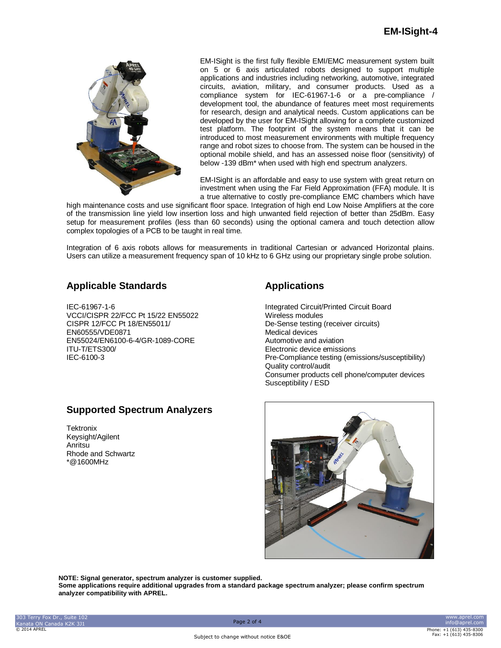

EM-ISight is the first fully flexible EMI/EMC measurement system built on 5 or 6 axis articulated robots designed to support multiple applications and industries including networking, automotive, integrated circuits, aviation, military, and consumer products. Used as a compliance system for IEC-61967-1-6 or a pre-compliance / development tool, the abundance of features meet most requirements for research, design and analytical needs. Custom applications can be developed by the user for EM-ISight allowing for a complete customized test platform. The footprint of the system means that it can be introduced to most measurement environments with multiple frequency range and robot sizes to choose from. The system can be housed in the optional mobile shield, and has an assessed noise floor (sensitivity) of below -139 dBm\* when used with high end spectrum analyzers.

EM-ISight is an affordable and easy to use system with great return on investment when using the Far Field Approximation (FFA) module. It is a true alternative to costly pre-compliance EMC chambers which have

high maintenance costs and use significant floor space. Integration of high end Low Noise Amplifiers at the core of the transmission line yield low insertion loss and high unwanted field rejection of better than 25dBm. Easy setup for measurement profiles (less than 60 seconds) using the optional camera and touch detection allow complex topologies of a PCB to be taught in real time.

Integration of 6 axis robots allows for measurements in traditional Cartesian or advanced Horizontal plains. Users can utilize a measurement frequency span of 10 kHz to 6 GHz using our proprietary single probe solution.

## **Applicable Standards**

IEC-61967-1-6 VCCI/CISPR 22/FCC Pt 15/22 EN55022 CISPR 12/FCC Pt 18/EN55011/ EN60555/VDE0871 EN55024/EN6100-6-4/GR-1089-CORE ITU-T/ETS300/ IEC-6100-3

## **Supported Spectrum Analyzers**

**Tektronix** Keysight/Agilent Anritsu Rhode and Schwartz \*@1600MHz

# **Applications**

Integrated Circuit/Printed Circuit Board Wireless modules De-Sense testing (receiver circuits) Medical devices Automotive and aviation Electronic device emissions Pre-Compliance testing (emissions/susceptibility) Quality control/audit Consumer products cell phone/computer devices Susceptibility / ESD



**NOTE: Signal generator, spectrum analyzer is customer supplied.**

**Some applications require additional upgrades from a standard package spectrum analyzer; please confirm spectrum analyzer compatibility with APREL.**

www.aprel.com info@aprel.com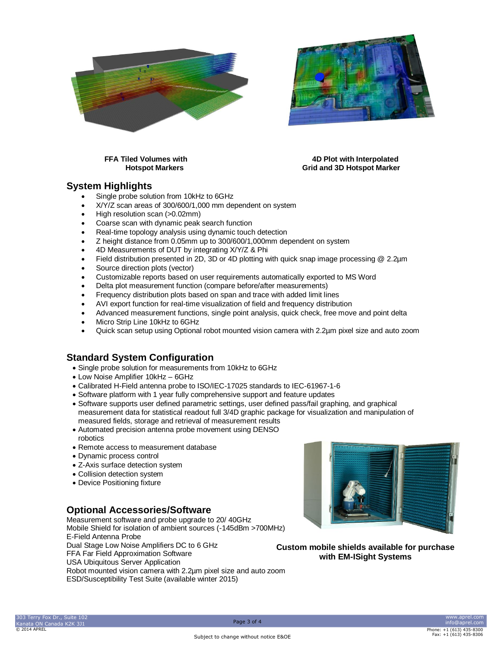



### **FFA Tiled Volumes with 4D Plot with Interpolated Hotspot Markers Grid and 3D Hotspot Marker**

## **System Highlights**

- Single probe solution from 10kHz to 6GHz
- X/Y/Z scan areas of 300/600/1,000 mm dependent on system
- High resolution scan (>0.02mm)
- Coarse scan with dynamic peak search function
- Real-time topology analysis using dynamic touch detection
- Z height distance from 0.05mm up to 300/600/1,000mm dependent on system
- 4D Measurements of DUT by integrating X/Y/Z & Phi
- Field distribution presented in 2D, 3D or 4D plotting with quick snap image processing @ 2.2µm
- Source direction plots (vector)
- Customizable reports based on user requirements automatically exported to MS Word
- Delta plot measurement function (compare before/after measurements)
- Frequency distribution plots based on span and trace with added limit lines
- AVI export function for real-time visualization of field and frequency distribution
- Advanced measurement functions, single point analysis, quick check, free move and point delta
- Micro Strip Line 10kHz to 6GHz
- Quick scan setup using Optional robot mounted vision camera with 2.2µm pixel size and auto zoom

## **Standard System Configuration**

- Single probe solution for measurements from 10kHz to 6GHz
- Low Noise Amplifier 10kHz 6GHz
- Calibrated H-Field antenna probe to ISO/IEC-17025 standards to IEC-61967-1-6
- Software platform with 1 year fully comprehensive support and feature updates
- Software supports user defined parametric settings, user defined pass/fail graphing, and graphical measurement data for statistical readout full 3/4D graphic package for visualization and manipulation of measured fields, storage and retrieval of measurement results
- Automated precision antenna probe movement using DENSO robotics
- Remote access to measurement database
- Dynamic process control
- Z-Axis surface detection system
- Collision detection system
- Device Positioning fixture

## **Optional Accessories/Software**

Measurement software and probe upgrade to 20/ 40GHz Mobile Shield for isolation of ambient sources (-145dBm >700MHz) E-Field Antenna Probe Dual Stage Low Noise Amplifiers DC to 6 GHz FFA Far Field Approximation Software USA Ubiquitous Server Application Robot mounted vision camera with 2.2µm pixel size and auto zoom ESD/Susceptibility Test Suite (available winter 2015)



**Custom mobile shields available for purchase with EM-ISight Systems**

www.aprel.com info@aprel.com